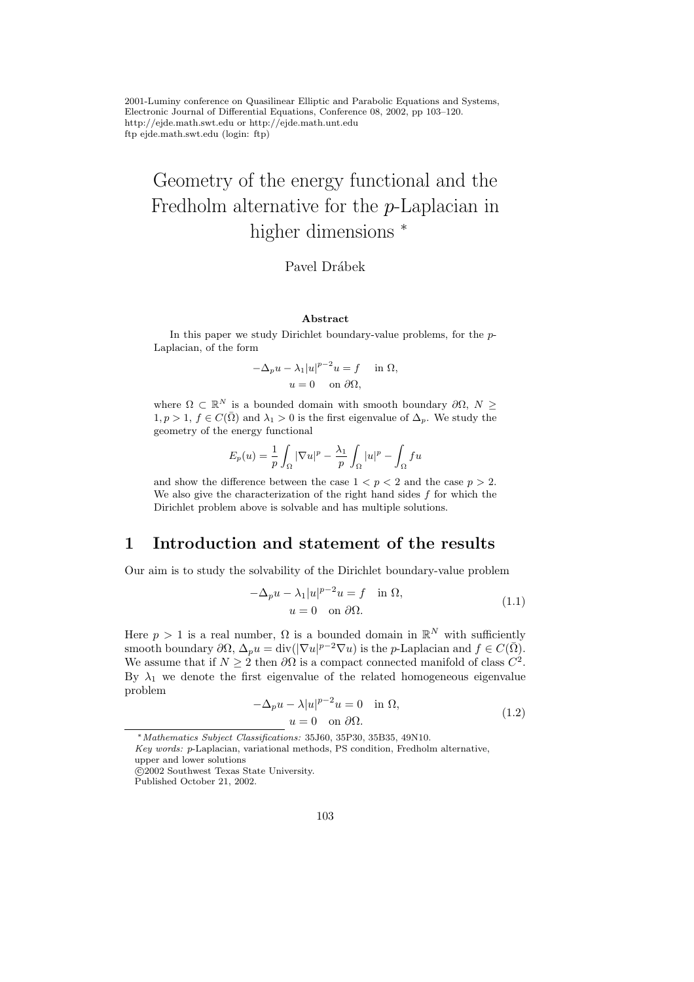2001-Luminy conference on Quasilinear Elliptic and Parabolic Equations and Systems, Electronic Journal of Differential Equations, Conference 08, 2002, pp 103–120. http://ejde.math.swt.edu or http://ejde.math.unt.edu ftp ejde.math.swt.edu (login: ftp)

# Geometry of the energy functional and the Fredholm alternative for the p-Laplacian in higher dimensions  $*$

### Pavel Drábek

#### Abstract

In this paper we study Dirichlet boundary-value problems, for the p-Laplacian, of the form

$$
-\Delta_p u - \lambda_1 |u|^{p-2} u = f \quad \text{in } \Omega,
$$
  
 
$$
u = 0 \quad \text{on } \partial\Omega,
$$

where  $\Omega \subset \mathbb{R}^N$  is a bounded domain with smooth boundary  $\partial\Omega, N \geq$  $1, p > 1, f \in C(\overline{\Omega})$  and  $\lambda_1 > 0$  is the first eigenvalue of  $\Delta_p$ . We study the geometry of the energy functional

$$
E_p(u) = \frac{1}{p} \int_{\Omega} |\nabla u|^p - \frac{\lambda_1}{p} \int_{\Omega} |u|^p - \int_{\Omega} f u
$$

and show the difference between the case  $1 < p < 2$  and the case  $p > 2$ . We also give the characterization of the right hand sides  $f$  for which the Dirichlet problem above is solvable and has multiple solutions.

## 1 Introduction and statement of the results

Our aim is to study the solvability of the Dirichlet boundary-value problem

$$
-\Delta_p u - \lambda_1 |u|^{p-2}u = f \quad \text{in } \Omega,
$$
  
 
$$
u = 0 \quad \text{on } \partial\Omega.
$$
 (1.1)

Here  $p > 1$  is a real number,  $\Omega$  is a bounded domain in  $\mathbb{R}^N$  with sufficiently smooth boundary  $\partial\Omega$ ,  $\Delta_p u = \text{div}(|\nabla u|^{p-2} \nabla u)$  is the *p*-Laplacian and  $f \in C(\overline{\Omega})$ . We assume that if  $N \geq 2$  then  $\partial\Omega$  is a compact connected manifold of class  $C^2$ . By  $\lambda_1$  we denote the first eigenvalue of the related homogeneous eigenvalue problem

$$
-\Delta_p u - \lambda |u|^{p-2}u = 0 \quad \text{in } \Omega,
$$
  
  $u = 0 \quad \text{on } \partial\Omega.$  (1.2)

<sup>∗</sup>Mathematics Subject Classifications: 35J60, 35P30, 35B35, 49N10.

Key words: p-Laplacian, variational methods, PS condition, Fredholm alternative,

upper and lower solutions

c 2002 Southwest Texas State University.

Published October 21, 2002.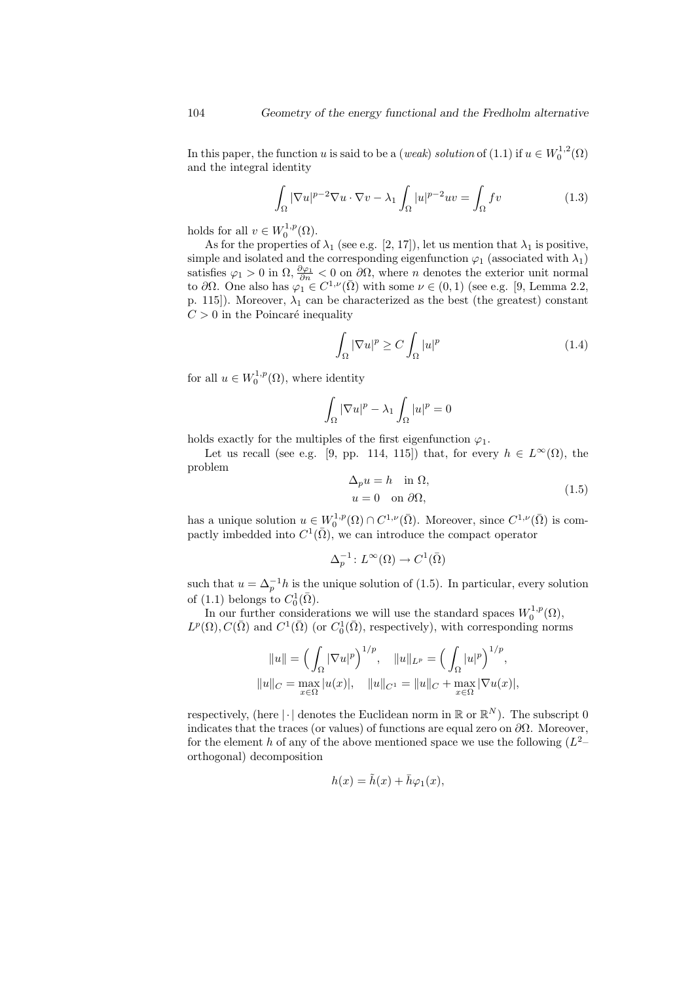In this paper, the function u is said to be a (weak) solution of (1.1) if  $u \in W_0^{1,2}(\Omega)$ and the integral identity

$$
\int_{\Omega} |\nabla u|^{p-2} \nabla u \cdot \nabla v - \lambda_1 \int_{\Omega} |u|^{p-2} uv = \int_{\Omega} fv \tag{1.3}
$$

holds for all  $v \in W_0^{1,p}(\Omega)$ .

As for the properties of  $\lambda_1$  (see e.g. [2, 17]), let us mention that  $\lambda_1$  is positive, simple and isolated and the corresponding eigenfunction  $\varphi_1$  (associated with  $\lambda_1$ ) satisfies  $\varphi_1 > 0$  in  $\Omega$ ,  $\frac{\partial \varphi_1}{\partial n} < 0$  on  $\partial \Omega$ , where *n* denotes the exterior unit normal to  $\partial\Omega$ . One also has  $\varphi_1 \in C^{1,\nu}(\overline{\Omega})$  with some  $\nu \in (0,1)$  (see e.g. [9, Lemma 2.2, p. 115]). Moreover,  $\lambda_1$  can be characterized as the best (the greatest) constant  $C > 0$  in the Poincaré inequality

$$
\int_{\Omega} |\nabla u|^p \ge C \int_{\Omega} |u|^p \tag{1.4}
$$

for all  $u \in W_0^{1,p}(\Omega)$ , where identity

$$
\int_{\Omega} |\nabla u|^p - \lambda_1 \int_{\Omega} |u|^p = 0
$$

holds exactly for the multiples of the first eigenfunction  $\varphi_1$ .

Let us recall (see e.g. [9, pp. 114, 115]) that, for every  $h \in L^{\infty}(\Omega)$ , the problem

$$
\Delta_p u = h \quad \text{in } \Omega,
$$
  
\n
$$
u = 0 \quad \text{on } \partial\Omega,
$$
\n(1.5)

has a unique solution  $u \in W_0^{1,p}(\Omega) \cap C^{1,\nu}(\overline{\Omega})$ . Moreover, since  $C^{1,\nu}(\overline{\Omega})$  is compactly imbedded into  $C^1(\overline{\Omega})$ , we can introduce the compact operator

$$
\Delta_p^{-1} \colon L^\infty(\Omega) \to C^1(\bar{\Omega})
$$

such that  $u = \Delta_p^{-1}h$  is the unique solution of (1.5). In particular, every solution of (1.1) belongs to  $C_0^1(\bar{\Omega})$ .

In our further considerations we will use the standard spaces  $W_0^{1,p}(\Omega)$ ,  $L^p(\Omega), C(\bar{\Omega})$  and  $C^1(\bar{\Omega})$  (or  $C_0^1(\bar{\Omega})$ , respectively), with corresponding norms

$$
||u|| = \left(\int_{\Omega} |\nabla u|^p\right)^{1/p}, \quad ||u||_{L^p} = \left(\int_{\Omega} |u|^p\right)^{1/p},
$$
  

$$
||u||_C = \max_{x \in \Omega} |u(x)|, \quad ||u||_{C^1} = ||u||_C + \max_{x \in \Omega} |\nabla u(x)|,
$$

respectively, (here  $|\cdot|$  denotes the Euclidean norm in  $\mathbb{R}$  or  $\mathbb{R}^{N}$ ). The subscript 0 indicates that the traces (or values) of functions are equal zero on  $\partial\Omega$ . Moreover, for the element h of any of the above mentioned space we use the following  $(L^2$ orthogonal) decomposition

$$
h(x) = \tilde{h}(x) + \bar{h}\varphi_1(x),
$$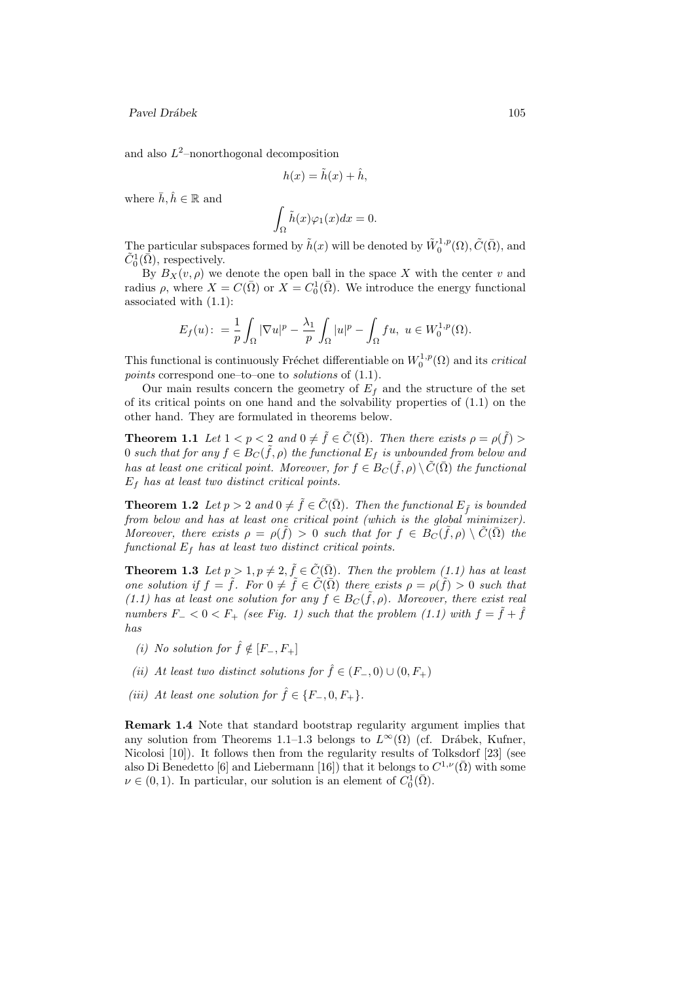and also  $L^2$ -nonorthogonal decomposition

$$
h(x) = \tilde{h}(x) + \hat{h},
$$

where  $\bar{h}, \hat{h} \in \mathbb{R}$  and

$$
\int_{\Omega} \tilde{h}(x)\varphi_1(x)dx = 0.
$$

The particular subspaces formed by  $\tilde{h}(x)$  will be denoted by  $\tilde{W}^{1,p}_0(\Omega), \tilde{C}(\bar{\Omega}),$  and  $\tilde{C}_0^1(\bar{\Omega}),$  respectively.

By  $B_X(v, \rho)$  we denote the open ball in the space X with the center v and radius  $\rho$ , where  $X = C(\overline{\Omega})$  or  $X = C_0^1(\overline{\Omega})$ . We introduce the energy functional associated with (1.1):

$$
E_f(u): = \frac{1}{p} \int_{\Omega} |\nabla u|^p - \frac{\lambda_1}{p} \int_{\Omega} |u|^p - \int_{\Omega} fu, \ u \in W_0^{1,p}(\Omega).
$$

This functional is continuously Fréchet differentiable on  $W_0^{1,p}(\Omega)$  and its *critical* points correspond one–to–one to *solutions* of  $(1.1)$ .

Our main results concern the geometry of  $E_f$  and the structure of the set of its critical points on one hand and the solvability properties of (1.1) on the other hand. They are formulated in theorems below.

**Theorem 1.1** Let  $1 < p < 2$  and  $0 \neq \tilde{f} \in \tilde{C}(\overline{\Omega})$ . Then there exists  $\rho = \rho(\tilde{f}) >$ 0 such that for any  $f \in B_C(\tilde{f}, \rho)$  the functional  $E_f$  is unbounded from below and has at least one critical point. Moreover, for  $f \in B_C(\tilde{f}, \rho) \setminus \tilde{C}(\bar{\Omega})$  the functional  $E_f$  has at least two distinct critical points.

**Theorem 1.2** Let  $p > 2$  and  $0 \neq \tilde{f} \in \tilde{C}(\bar{\Omega})$ . Then the functional  $E_{\tilde{f}}$  is bounded from below and has at least one critical point (which is the global minimizer). Moreover, there exists  $\rho = \rho(\tilde{f}) > 0$  such that for  $f \in B_C(\tilde{f}, \rho) \setminus \tilde{C}(\bar{\Omega})$  the functional  $E_f$  has at least two distinct critical points.

**Theorem 1.3** Let  $p > 1, p \neq 2, \tilde{f} \in \tilde{C}(\overline{\Omega})$ . Then the problem (1.1) has at least one solution if  $f = \tilde{f}$ . For  $0 \neq \tilde{f} \in \tilde{C}(\overline{\Omega})$  there exists  $\rho = \rho(\tilde{f}) > 0$  such that (1.1) has at least one solution for any  $f \in B_C(\tilde{f}, \rho)$ . Moreover, there exist real numbers  $F_ - < 0 < F_ +$  (see Fig. 1) such that the problem (1.1) with  $f = \tilde{f} + \tilde{f}$ has

- (i) No solution for  $\hat{f} \notin [F_-, F_+]$
- (ii) At least two distinct solutions for  $\hat{f} \in (F_-, 0) \cup (0, F_+)$
- (iii) At least one solution for  $\hat{f} \in \{F_-, 0, F_+\}.$

Remark 1.4 Note that standard bootstrap regularity argument implies that any solution from Theorems 1.1–1.3 belongs to  $L^{\infty}(\Omega)$  (cf. Drábek, Kufner, Nicolosi [10]). It follows then from the regularity results of Tolksdorf [23] (see also Di Benedetto [6] and Liebermann [16]) that it belongs to  $C^{1,\nu}(\bar{\Omega})$  with some  $\nu \in (0, 1)$ . In particular, our solution is an element of  $C_0^1(\overline{\Omega})$ .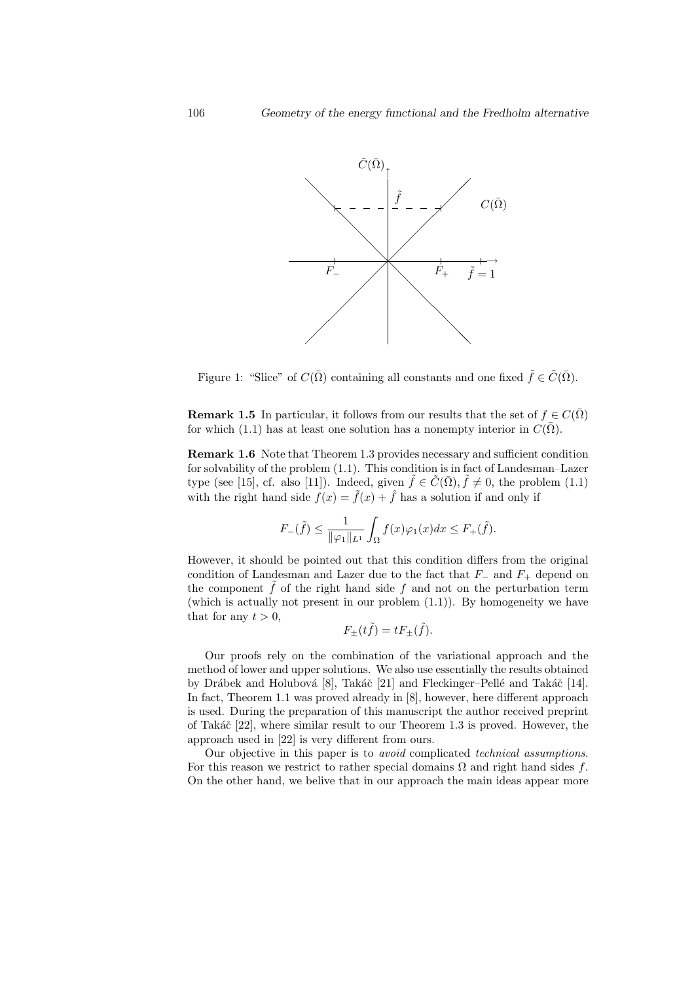

Figure 1: "Slice" of  $C(\bar{\Omega})$  containing all constants and one fixed  $\tilde{f} \in \tilde{C}(\bar{\Omega})$ .

**Remark 1.5** In particular, it follows from our results that the set of  $f \in C(\overline{\Omega})$ for which (1.1) has at least one solution has a nonempty interior in  $C(\bar{\Omega})$ .

Remark 1.6 Note that Theorem 1.3 provides necessary and sufficient condition for solvability of the problem (1.1). This condition is in fact of Landesman–Lazer type (see [15], cf. also [11]). Indeed, given  $\tilde{f} \in \tilde{C}(\bar{\Omega}), \tilde{f} \neq 0$ , the problem (1.1) with the right hand side  $f(x) = \tilde{f}(x) + \hat{f}$  has a solution if and only if

$$
F_{-}(\tilde{f}) \le \frac{1}{\|\varphi_1\|_{L^1}} \int_{\Omega} f(x)\varphi_1(x)dx \le F_{+}(\tilde{f}).
$$

However, it should be pointed out that this condition differs from the original condition of Landesman and Lazer due to the fact that  $F_-\,$  and  $F_+\,$  depend on the component  $\tilde{f}$  of the right hand side f and not on the perturbation term (which is actually not present in our problem  $(1.1)$ ). By homogeneity we have that for any  $t > 0$ ,

$$
F_{\pm}(t\tilde{f}) = tF_{\pm}(\tilde{f}).
$$

Our proofs rely on the combination of the variational approach and the method of lower and upper solutions. We also use essentially the results obtained by Drábek and Holubová [8], Takáč [21] and Fleckinger–Pellé and Takáč [14]. In fact, Theorem 1.1 was proved already in [8], however, here different approach is used. During the preparation of this manuscript the author received preprint of Takáč  $[22]$ , where similar result to our Theorem 1.3 is proved. However, the approach used in [22] is very different from ours.

Our objective in this paper is to avoid complicated technical assumptions. For this reason we restrict to rather special domains  $\Omega$  and right hand sides f. On the other hand, we belive that in our approach the main ideas appear more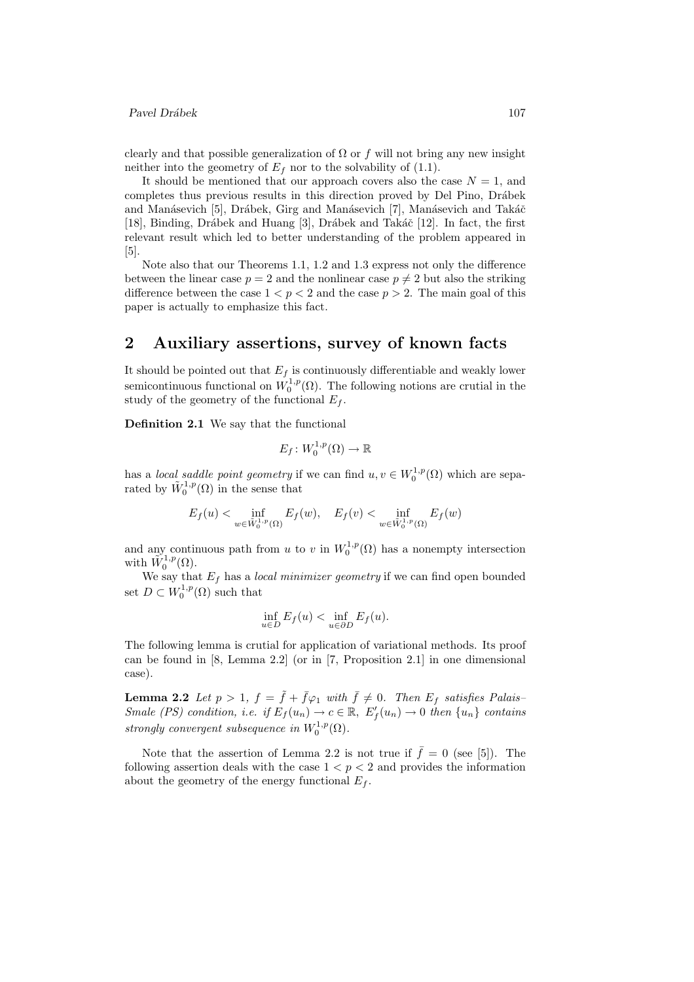clearly and that possible generalization of  $\Omega$  or f will not bring any new insight neither into the geometry of  $E_f$  nor to the solvability of (1.1).

It should be mentioned that our approach covers also the case  $N = 1$ , and completes thus previous results in this direction proved by Del Pino, Drábek and Manásevich [5], Drábek, Girg and Manásevich [7], Manásevich and Takáč [18], Binding, Drábek and Huang [3], Drábek and Takáč [12]. In fact, the first relevant result which led to better understanding of the problem appeared in [5].

Note also that our Theorems 1.1, 1.2 and 1.3 express not only the difference between the linear case  $p = 2$  and the nonlinear case  $p \neq 2$  but also the striking difference between the case  $1 < p < 2$  and the case  $p > 2$ . The main goal of this paper is actually to emphasize this fact.

## 2 Auxiliary assertions, survey of known facts

It should be pointed out that  $E_f$  is continuously differentiable and weakly lower semicontinuous functional on  $W_0^{1,p}(\Omega)$ . The following notions are crutial in the study of the geometry of the functional  $E_f$ .

**Definition 2.1** We say that the functional

$$
E_f\colon W_0^{1,p}(\Omega)\to\mathbb{R}
$$

has a local saddle point geometry if we can find  $u, v \in W_0^{1,p}(\Omega)$  which are separated by  $\tilde{W}^{1,p}_0(\Omega)$  in the sense that

$$
E_f(u) < \inf_{w \in \tilde{W}_0^{1,p}(\Omega)} E_f(w), \quad E_f(v) < \inf_{w \in \tilde{W}_0^{1,p}(\Omega)} E_f(w)
$$

and any continuous path from u to v in  $W_0^{1,p}(\Omega)$  has a nonempty intersection with  $\tilde{W}^{1,p}_0(\Omega)$ .

We say that  $E_f$  has a *local minimizer geometry* if we can find open bounded set  $D \subset W_0^{1,p}(\Omega)$  such that

$$
\inf_{u \in D} E_f(u) < \inf_{u \in \partial D} E_f(u).
$$

The following lemma is crutial for application of variational methods. Its proof can be found in [8, Lemma 2.2] (or in [7, Proposition 2.1] in one dimensional case).

**Lemma 2.2** Let  $p > 1$ ,  $f = \tilde{f} + \bar{f}\varphi_1$  with  $\bar{f} \neq 0$ . Then  $E_f$  satisfies Palais– Smale (PS) condition, i.e. if  $E_f(u_n) \to c \in \mathbb{R}$ ,  $E'_f(u_n) \to 0$  then  $\{u_n\}$  contains strongly convergent subsequence in  $W_0^{1,p}(\Omega)$ .

Note that the assertion of Lemma 2.2 is not true if  $\bar{f} = 0$  (see [5]). The following assertion deals with the case  $1 < p < 2$  and provides the information about the geometry of the energy functional  $E_f$ .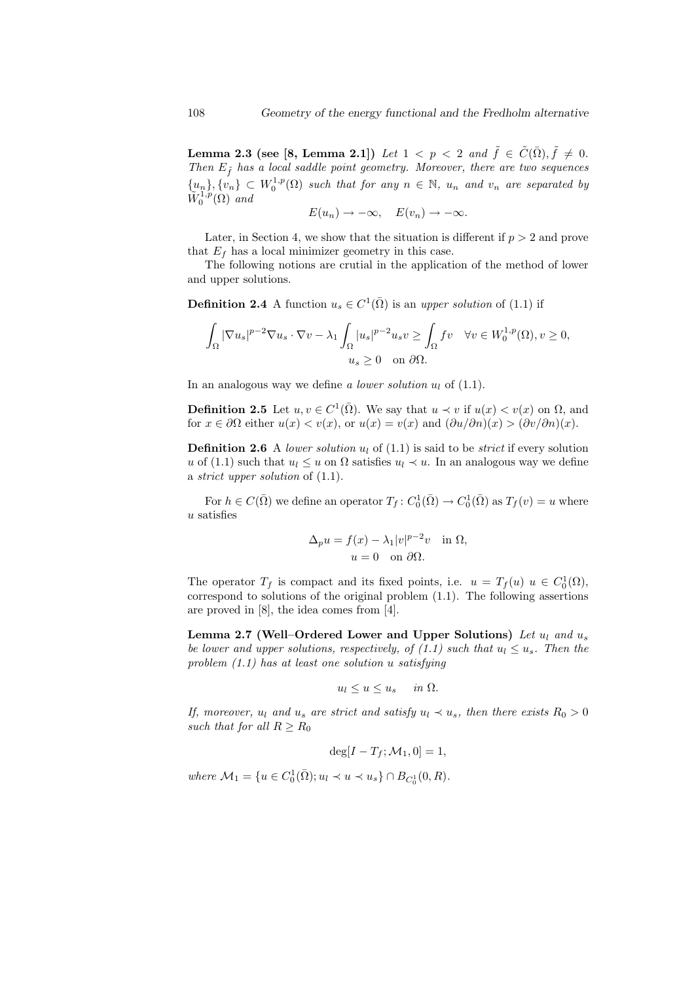Lemma 2.3 (see [8, Lemma 2.1]) Let  $1 \, <\, p \, <\, 2$  and  $\tilde{f}\, \in\, \tilde{C}(\bar{\Omega}), \tilde{f}\, \neq\, 0.$ Then  $E_{\tilde{f}}$  has a local saddle point geometry. Moreover, there are two sequences  ${u_n}, {v_n} \subset W_0^{1,p}(\Omega)$  such that for any  $n \in \mathbb{N}$ ,  $u_n$  and  $v_n$  are separated by  $\widetilde{W}^{1,p}_0(\Omega)$  and

$$
E(u_n) \to -\infty, \quad E(v_n) \to -\infty.
$$

Later, in Section 4, we show that the situation is different if  $p > 2$  and prove that  $E_f$  has a local minimizer geometry in this case.

The following notions are crutial in the application of the method of lower and upper solutions.

**Definition 2.4** A function  $u_s \in C^1(\overline{\Omega})$  is an upper solution of (1.1) if

$$
\begin{aligned} \int_{\Omega} |\nabla u_s|^{p-2}\nabla u_s \cdot \nabla v - \lambda_1 \int_{\Omega} |u_s|^{p-2}u_s v \geq \int_{\Omega} fv \quad \forall v \in W_0^{1,p}(\Omega), v \geq 0, \\ u_s \geq 0 \quad \text{on } \partial \Omega. \end{aligned}
$$

In an analogous way we define a lower solution  $u_l$  of  $(1.1)$ .

**Definition 2.5** Let  $u, v \in C^1(\overline{\Omega})$ . We say that  $u \prec v$  if  $u(x) < v(x)$  on  $\Omega$ , and for  $x \in \partial\Omega$  either  $u(x) < v(x)$ , or  $u(x) = v(x)$  and  $(\partial u/\partial n)(x) > (\partial v/\partial n)(x)$ .

**Definition 2.6** A lower solution  $u_l$  of (1.1) is said to be *strict* if every solution u of (1.1) such that  $u_l \leq u$  on  $\Omega$  satisfies  $u_l \prec u$ . In an analogous way we define a strict upper solution of (1.1).

For  $h \in C(\bar{\Omega})$  we define an operator  $T_f: C_0^1(\bar{\Omega}) \to C_0^1(\bar{\Omega})$  as  $T_f(v) = u$  where u satisfies

$$
\Delta_p u = f(x) - \lambda_1 |v|^{p-2} v \quad \text{in } \Omega,
$$
  

$$
u = 0 \quad \text{on } \partial\Omega.
$$

The operator  $T_f$  is compact and its fixed points, i.e.  $u = T_f(u)$   $u \in C_0^1(\Omega)$ , correspond to solutions of the original problem (1.1). The following assertions are proved in [8], the idea comes from [4].

Lemma 2.7 (Well–Ordered Lower and Upper Solutions) Let  $u_1$  and  $u_s$ be lower and upper solutions, respectively, of (1.1) such that  $u_l \leq u_s$ . Then the problem  $(1.1)$  has at least one solution u satisfying

$$
u_l \le u \le u_s \quad in \ \Omega.
$$

If, moreover,  $u_l$  and  $u_s$  are strict and satisfy  $u_l \prec u_s$ , then there exists  $R_0 > 0$ such that for all  $R \geq R_0$ 

$$
\deg[I - T_f; \mathcal{M}_1, 0] = 1,
$$

where  $\mathcal{M}_1 = \{u \in C_0^1(\bar{\Omega}); u_l \prec u \prec u_s\} \cap B_{C_0^1}(0, R).$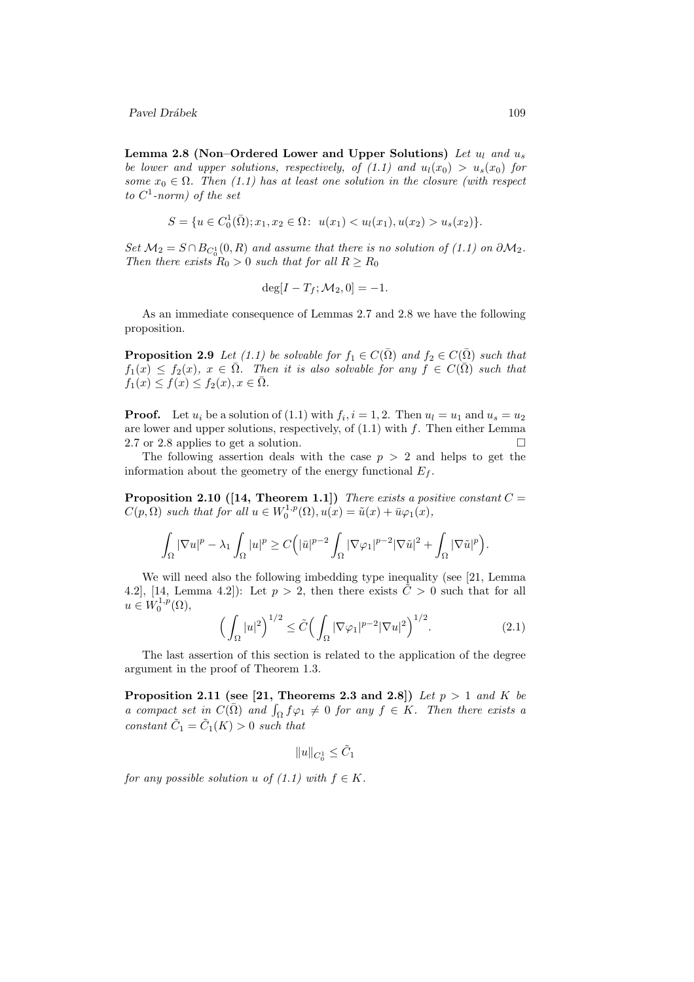Lemma 2.8 (Non–Ordered Lower and Upper Solutions) Let  $u_l$  and  $u_s$ be lower and upper solutions, respectively, of  $(1.1)$  and  $u_l(x_0) > u_s(x_0)$  for some  $x_0 \in \Omega$ . Then (1.1) has at least one solution in the closure (with respect to  $C^1$ -norm) of the set

$$
S = \{ u \in C_0^1(\bar{\Omega}); x_1, x_2 \in \Omega : \ u(x_1) < u_l(x_1), u(x_2) > u_s(x_2) \}.
$$

Set  $\mathcal{M}_2 = S \cap B_{C_0^1}(0,R)$  and assume that there is no solution of (1.1) on  $\partial \mathcal{M}_2$ . Then there exists  $R_0 > 0$  such that for all  $R \ge R_0$ 

$$
\deg[I - T_f; \mathcal{M}_2, 0] = -1.
$$

As an immediate consequence of Lemmas 2.7 and 2.8 we have the following proposition.

**Proposition 2.9** Let (1.1) be solvable for  $f_1 \in C(\overline{\Omega})$  and  $f_2 \in C(\overline{\Omega})$  such that  $f_1(x) \le f_2(x), x \in \overline{\Omega}$ . Then it is also solvable for any  $f \in C(\overline{\Omega})$  such that  $f_1(x) \le f(x) \le f_2(x), x \in \overline{\Omega}.$ 

**Proof.** Let  $u_i$  be a solution of (1.1) with  $f_i$ ,  $i = 1, 2$ . Then  $u_l = u_1$  and  $u_s = u_2$ are lower and upper solutions, respectively, of  $(1.1)$  with  $f$ . Then either Lemma 2.7 or 2.8 applies to get a solution.

The following assertion deals with the case  $p > 2$  and helps to get the information about the geometry of the energy functional  $E_f$ .

**Proposition 2.10** ([14, Theorem 1.1]) There exists a positive constant  $C =$  $C(p,\Omega)$  such that for all  $u \in W_0^{1,p}(\Omega), u(x) = \tilde{u}(x) + \bar{u}\varphi_1(x),$ 

$$
\int_{\Omega} |\nabla u|^p - \lambda_1 \int_{\Omega} |u|^p \geq C\Big(|\bar{u}|^{p-2} \int_{\Omega} |\nabla \varphi_1|^{p-2} |\nabla \tilde{u}|^2 + \int_{\Omega} |\nabla \tilde{u}|^p\Big).
$$

We will need also the following imbedding type inequality (see [21, Lemma 4.2, [14, Lemma 4.2]): Let  $p > 2$ , then there exists  $\tilde{C} > 0$  such that for all  $u \in W_0^{1,p}(\Omega),$ 

$$
\left(\int_{\Omega} |u|^2\right)^{1/2} \le \tilde{C} \left(\int_{\Omega} |\nabla \varphi_1|^{p-2} |\nabla u|^2\right)^{1/2}.\tag{2.1}
$$

The last assertion of this section is related to the application of the degree argument in the proof of Theorem 1.3.

Proposition 2.11 (see [21, Theorems 2.3 and 2.8]) Let  $p > 1$  and K be a compact set in  $C(\overline{\Omega})$  and  $\int_{\Omega} f \varphi_1 \neq 0$  for any  $f \in K$ . Then there exists a constant  $\tilde{C}_1 = \tilde{C}_1(K) > 0$  such that

$$
\|u\|_{C_0^1}\leq \tilde{C}_1
$$

for any possible solution u of  $(1.1)$  with  $f \in K$ .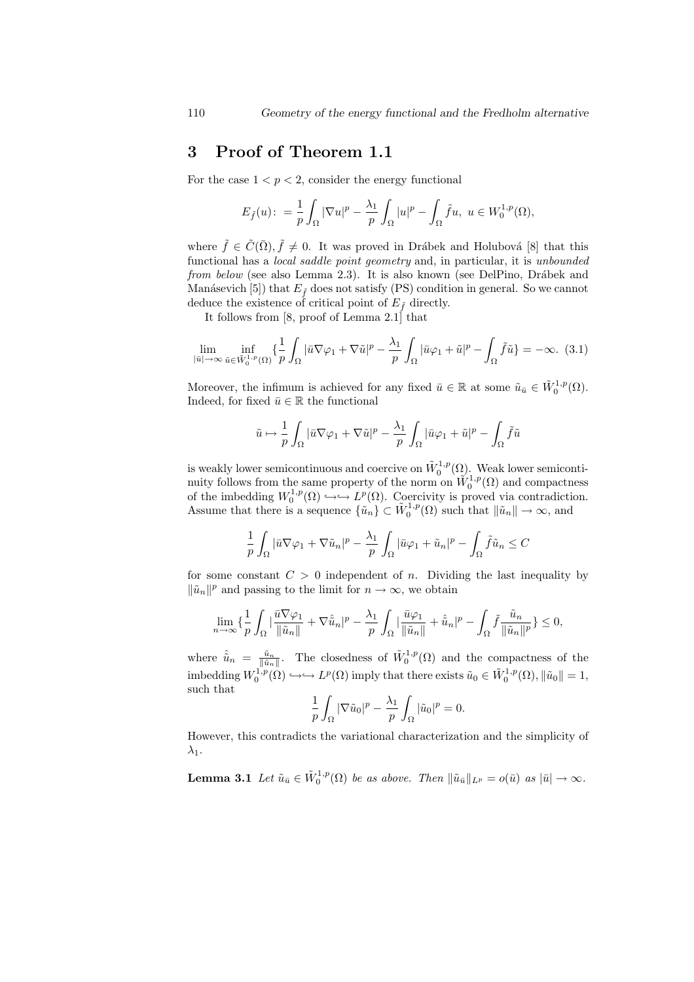## 3 Proof of Theorem 1.1

For the case  $1 < p < 2$ , consider the energy functional

$$
E_{\tilde{f}}(u): = \frac{1}{p} \int_{\Omega} |\nabla u|^p - \frac{\lambda_1}{p} \int_{\Omega} |u|^p - \int_{\Omega} \tilde{f}u, \ u \in W_0^{1,p}(\Omega),
$$

where  $\tilde{f} \in \tilde{C}(\bar{\Omega}), \tilde{f} \neq 0$ . It was proved in Drábek and Holubová [8] that this functional has a local saddle point geometry and, in particular, it is unbounded from below (see also Lemma 2.3). It is also known (see DelPino, Drábek and Manásevich [5]) that  $E_{\tilde{f}}$  does not satisfy (PS) condition in general. So we cannot deduce the existence of critical point of  $E_{\tilde{f}}$  directly.

It follows from [8, proof of Lemma 2.1] that

$$
\lim_{|\bar{u}|\to\infty} \inf_{\tilde{u}\in \tilde{W}_0^{1,p}(\Omega)} \left\{ \frac{1}{p} \int_{\Omega} |\bar{u}\nabla\varphi_1 + \nabla\tilde{u}|^p - \frac{\lambda_1}{p} \int_{\Omega} |\bar{u}\varphi_1 + \tilde{u}|^p - \int_{\Omega} \tilde{f}\tilde{u} \right\} = -\infty. (3.1)
$$

Moreover, the infimum is achieved for any fixed  $\bar{u} \in \mathbb{R}$  at some  $\tilde{u}_{\bar{u}} \in \tilde{W}^{1,p}_0(\Omega)$ . Indeed, for fixed  $\bar{u} \in \mathbb{R}$  the functional

$$
\tilde{u} \mapsto \frac{1}{p} \int_{\Omega} |\bar{u} \nabla \varphi_1 + \nabla \tilde{u}|^p - \frac{\lambda_1}{p} \int_{\Omega} |\bar{u} \varphi_1 + \tilde{u}|^p - \int_{\Omega} \tilde{f} \tilde{u}
$$

is weakly lower semicontinuous and coercive on  $\tilde{W}^{1,p}_0(\Omega)$ . Weak lower semicontinuity follows from the same property of the norm on  $\tilde{W}^{1,p}_0(\Omega)$  and compactness of the imbedding  $W_0^{1,p}(\Omega) \hookrightarrow \hookrightarrow L^p(\Omega)$ . Coercivity is proved via contradiction. Assume that there is a sequence  $\{\tilde{u}_n\} \subset \tilde{W}_0^{1,p}(\Omega)$  such that  $\|\tilde{u}_n\| \to \infty$ , and

$$
\frac{1}{p}\int_{\Omega}|\bar{u}\nabla\varphi_{1}+\nabla\tilde{u}_{n}|^{p}-\frac{\lambda_{1}}{p}\int_{\Omega}|\bar{u}\varphi_{1}+\tilde{u}_{n}|^{p}-\int_{\Omega}\tilde{f}\tilde{u}_{n}\leq C
$$

for some constant  $C > 0$  independent of n. Dividing the last inequality by  $\|\tilde{u}_n\|^p$  and passing to the limit for  $n \to \infty$ , we obtain

$$
\lim_{n\to\infty}\{\frac{1}{p}\int_{\Omega}|\frac{\bar{u}\nabla\varphi_1}{\|\tilde{u}_n\|}+\nabla\hat{\tilde{u}}_n|^p-\frac{\lambda_1}{p}\int_{\Omega}|\frac{\bar{u}\varphi_1}{\|\tilde{u}_n\|}+\hat{\tilde{u}}_n|^p-\int_{\Omega}\tilde{f}\frac{\tilde{u}_n}{\|\tilde{u}_n\|^p}\}\leq 0,
$$

where  $\hat{u}_n = \frac{\tilde{u}_n}{\|\tilde{u}_n\|}$ . The closedness of  $\tilde{W}^{1,p}_0(\Omega)$  and the compactness of the imbedding  $W_0^{1,p}(\Omega) \hookrightarrow \hookrightarrow L^p(\Omega)$  imply that there exists  $\tilde{u}_0 \in \tilde{W}_0^{1,p}(\Omega), ||\tilde{u}_0|| = 1$ , such that

$$
\frac{1}{p}\int_{\Omega}|\nabla \tilde{u}_0|^p-\frac{\lambda_1}{p}\int_{\Omega}|\tilde{u}_0|^p=0.
$$

However, this contradicts the variational characterization and the simplicity of  $\lambda_1$ .

**Lemma 3.1** Let  $\tilde{u}_{\bar{u}} \in \tilde{W}_0^{1,p}(\Omega)$  be as above. Then  $\|\tilde{u}_{\bar{u}}\|_{L^p} = o(\bar{u})$  as  $|\bar{u}| \to \infty$ .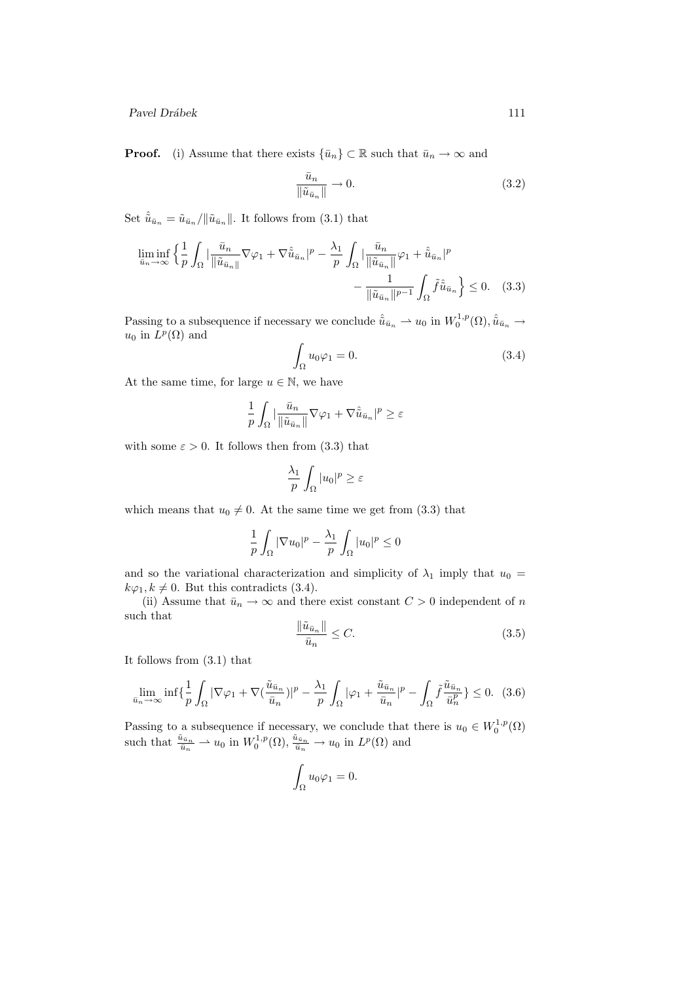**Proof.** (i) Assume that there exists  $\{\bar{u}_n\} \subset \mathbb{R}$  such that  $\bar{u}_n \to \infty$  and

$$
\frac{\bar{u}_n}{\|\tilde{u}_{\bar{u}_n}\|} \to 0. \tag{3.2}
$$

Set  $\hat{\tilde{u}}_{\bar{u}_n} = \tilde{u}_{\bar{u}_n}/\|\tilde{u}_{\bar{u}_n}\|$ . It follows from (3.1) that

$$
\liminf_{\bar{u}_n \to \infty} \left\{ \frac{1}{p} \int_{\Omega} \left| \frac{\bar{u}_n}{\|\tilde{u}_{\bar{u}_n}\|} \nabla \varphi_1 + \nabla \hat{\tilde{u}}_{\bar{u}_n} \right|^p - \frac{\lambda_1}{p} \int_{\Omega} \left| \frac{\bar{u}_n}{\|\tilde{u}_{\bar{u}_n}\|} \varphi_1 + \hat{\tilde{u}}_{\bar{u}_n} \right|^p - \frac{1}{\|\tilde{u}_{\bar{u}_n}\|^{p-1}} \int_{\Omega} \tilde{f} \hat{\tilde{u}}_{\bar{u}_n} \right\} \le 0. \quad (3.3)
$$

Passing to a subsequence if necessary we conclude  $\hat{u}_{\bar{u}_n} \to u_0$  in  $W_0^{1,p}(\Omega), \hat{u}_{\bar{u}_n} \to$  $u_0$  in  $L^p(\Omega)$  and

$$
\int_{\Omega} u_0 \varphi_1 = 0. \tag{3.4}
$$

At the same time, for large  $u \in \mathbb{N}$ , we have

$$
\frac{1}{p} \int_{\Omega} \left| \frac{\bar{u}_n}{\|\tilde{u}_{\bar{u}_n}\|} \nabla \varphi_1 + \nabla \hat{\tilde{u}}_{\bar{u}_n} \right|^p \ge \varepsilon
$$

with some  $\varepsilon > 0$ . It follows then from (3.3) that

$$
\frac{\lambda_1}{p} \int_{\Omega} |u_0|^p \ge \varepsilon
$$

which means that  $u_0 \neq 0$ . At the same time we get from (3.3) that

$$
\frac{1}{p}\int_{\Omega}|\nabla u_0|^p-\frac{\lambda_1}{p}\int_{\Omega}|u_0|^p\leq 0
$$

and so the variational characterization and simplicity of  $\lambda_1$  imply that  $u_0 =$  $k\varphi_1, k \neq 0$ . But this contradicts (3.4).

(ii) Assume that  $\bar{u}_n \to \infty$  and there exist constant  $C > 0$  independent of n such that

$$
\frac{\|\tilde{u}_{\bar{u}_n}\|}{\bar{u}_n} \le C. \tag{3.5}
$$

It follows from (3.1) that

$$
\lim_{\bar{u}_n \to \infty} \inf \{ \frac{1}{p} \int_{\Omega} |\nabla \varphi_1 + \nabla (\frac{\tilde{u}_{\bar{u}_n}}{\bar{u}_n})|^p - \frac{\lambda_1}{p} \int_{\Omega} |\varphi_1 + \frac{\tilde{u}_{\bar{u}_n}}{\bar{u}_n}|^p - \int_{\Omega} \tilde{f} \frac{\tilde{u}_{\bar{u}_n}}{\bar{u}_n^p} \} \le 0. \tag{3.6}
$$

Passing to a subsequence if necessary, we conclude that there is  $u_0 \in W_0^{1,p}(\Omega)$ such that  $\frac{\tilde{u}_{\bar{u}_n}}{\tilde{u}_n} \rightharpoonup u_0$  in  $W_0^{1,p}(\Omega), \frac{\tilde{u}_{\bar{u}_n}}{\tilde{u}_n} \rightharpoonup u_0$  in  $L^p(\Omega)$  and

$$
\int_{\Omega} u_0 \varphi_1 = 0.
$$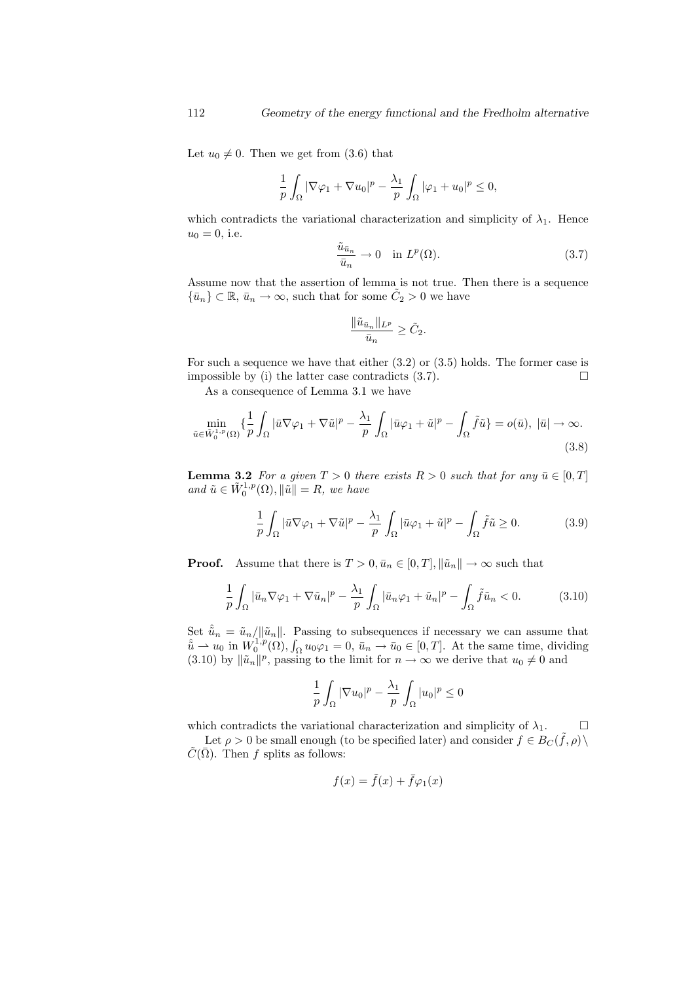Let  $u_0 \neq 0$ . Then we get from (3.6) that

$$
\frac{1}{p}\int_{\Omega} |\nabla \varphi_1 + \nabla u_0|^p - \frac{\lambda_1}{p}\int_{\Omega} |\varphi_1 + u_0|^p \le 0,
$$

which contradicts the variational characterization and simplicity of  $\lambda_1$ . Hence  $u_0 = 0$ , i.e.

$$
\frac{\tilde{u}_{\bar{u}_n}}{\bar{u}_n} \to 0 \quad \text{in } L^p(\Omega). \tag{3.7}
$$

Assume now that the assertion of lemma is not true. Then there is a sequence  $\{\bar{u}_n\} \subset \mathbb{R}, \bar{u}_n \to \infty$ , such that for some  $\tilde{C}_2 > 0$  we have

$$
\frac{\|\tilde u_{\bar u_n}\|_{L^p}}{\bar u_n}\geq \tilde C_2.
$$

For such a sequence we have that either  $(3.2)$  or  $(3.5)$  holds. The former case is impossible by (i) the latter case contradicts  $(3.7)$ .

As a consequence of Lemma 3.1 we have

$$
\min_{\tilde{u}\in\tilde{W}_{0}^{1,p}(\Omega)}\left\{\frac{1}{p}\int_{\Omega}|\bar{u}\nabla\varphi_{1}+\nabla\tilde{u}|^{p}-\frac{\lambda_{1}}{p}\int_{\Omega}|\bar{u}\varphi_{1}+\tilde{u}|^{p}-\int_{\Omega}\tilde{f}\tilde{u}\right\}=o(\bar{u}),\ |\bar{u}|\to\infty.
$$
\n(3.8)

**Lemma 3.2** For a given  $T > 0$  there exists  $R > 0$  such that for any  $\bar{u} \in [0, T]$ and  $\tilde{u} \in \tilde{W}_0^{1,p}(\Omega), ||\tilde{u}|| = R$ , we have

$$
\frac{1}{p} \int_{\Omega} |\bar{u} \nabla \varphi_1 + \nabla \tilde{u}|^p - \frac{\lambda_1}{p} \int_{\Omega} |\bar{u} \varphi_1 + \tilde{u}|^p - \int_{\Omega} \tilde{f} \tilde{u} \ge 0.
$$
 (3.9)

**Proof.** Assume that there is  $T > 0, \bar{u}_n \in [0, T], ||\tilde{u}_n|| \to \infty$  such that

$$
\frac{1}{p} \int_{\Omega} |\bar{u}_n \nabla \varphi_1 + \nabla \tilde{u}_n|^p - \frac{\lambda_1}{p} \int_{\Omega} |\bar{u}_n \varphi_1 + \tilde{u}_n|^p - \int_{\Omega} \tilde{f} \tilde{u}_n < 0. \tag{3.10}
$$

Set  $\hat{u}_n = \tilde{u}_n / ||\tilde{u}_n||$ . Passing to subsequences if necessary we can assume that  $\hat{u} \rightharpoonup u_0$  in  $W_0^{1,p}(\Omega)$ ,  $\int_{\Omega} u_0 \varphi_1 = 0$ ,  $\bar{u}_n \rightharpoonup \bar{u}_0 \in [0,T]$ . At the same time, dividing (3.10) by  $\|\tilde{u}_n\|^p$ , passing to the limit for  $n \to \infty$  we derive that  $u_0 \neq 0$  and

$$
\frac{1}{p}\int_{\Omega}|\nabla u_0|^p-\frac{\lambda_1}{p}\int_{\Omega}|u_0|^p\leq 0
$$

which contradicts the variational characterization and simplicity of  $\lambda_1$ .

Let  $\rho > 0$  be small enough (to be specified later) and consider  $f \in B_C(\tilde{f}, \rho) \setminus$  $\tilde{C}(\bar{\Omega})$ . Then f splits as follows:

$$
f(x) = \tilde{f}(x) + \bar{f}\varphi_1(x)
$$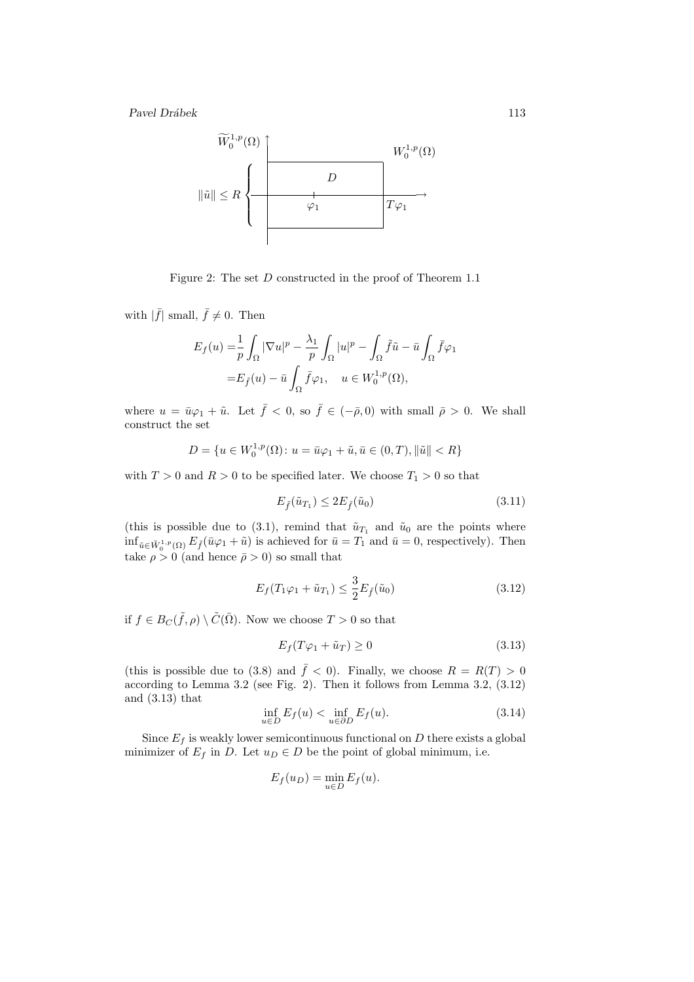

Figure 2: The set D constructed in the proof of Theorem 1.1

with  $|\bar{f}|$  small,  $\bar{f} \neq 0$ . Then

$$
\begin{split} E_f(u)=&\frac{1}{p}\int_{\Omega}|\nabla u|^p-\frac{\lambda_1}{p}\int_{\Omega}|u|^p-\int_{\Omega}\tilde{f}\tilde{u}-\bar{u}\int_{\Omega}\bar{f}\varphi_1\\ =&E_{\tilde{f}}(u)-\bar{u}\int_{\Omega}\bar{f}\varphi_1,\quad u\in W^{1,p}_0(\Omega), \end{split}
$$

where  $u = \bar{u}\varphi_1 + \tilde{u}$ . Let  $\bar{f} < 0$ , so  $\bar{f} \in (-\bar{\rho}, 0)$  with small  $\bar{\rho} > 0$ . We shall construct the set

$$
D = \{ u \in W_0^{1,p}(\Omega) \colon u = \bar{u}\varphi_1 + \tilde{u}, \bar{u} \in (0,T), ||\tilde{u}|| < R \}
$$

with  $T > 0$  and  $R > 0$  to be specified later. We choose  $T_1 > 0$  so that

$$
E_{\tilde{f}}(\tilde{u}_{T_1}) \le 2E_{\tilde{f}}(\tilde{u}_0) \tag{3.11}
$$

(this is possible due to (3.1), remind that  $\tilde{u}_{T_1}$  and  $\tilde{u}_0$  are the points where  $\inf_{\tilde{u}\in \tilde{W}_0^{1,p}(\Omega)} E_{\tilde{f}}(\bar{u}\varphi_1+\tilde{u})$  is achieved for  $\bar{u}=T_1$  and  $\bar{u}=0$ , respectively). Then take  $\rho > 0$  (and hence  $\bar{\rho} > 0$ ) so small that

$$
E_f(T_1\varphi_1 + \tilde{u}_{T_1}) \le \frac{3}{2} E_{\tilde{f}}(\tilde{u}_0)
$$
\n(3.12)

if  $f \in B_C(\tilde{f}, \rho) \setminus \tilde{C}(\bar{\Omega})$ . Now we choose  $T > 0$  so that

$$
E_f(T\varphi_1 + \tilde{u}_T) \ge 0\tag{3.13}
$$

(this is possible due to (3.8) and  $\bar{f}$  < 0). Finally, we choose  $R = R(T) > 0$ according to Lemma 3.2 (see Fig. 2). Then it follows from Lemma 3.2, (3.12) and (3.13) that

$$
\inf_{u \in D} E_f(u) < \inf_{u \in \partial D} E_f(u). \tag{3.14}
$$

Since  $E_f$  is weakly lower semicontinuous functional on D there exists a global minimizer of  $E_f$  in D. Let  $u_D \in D$  be the point of global minimum, i.e.

$$
E_f(u_D) = \min_{u \in D} E_f(u).
$$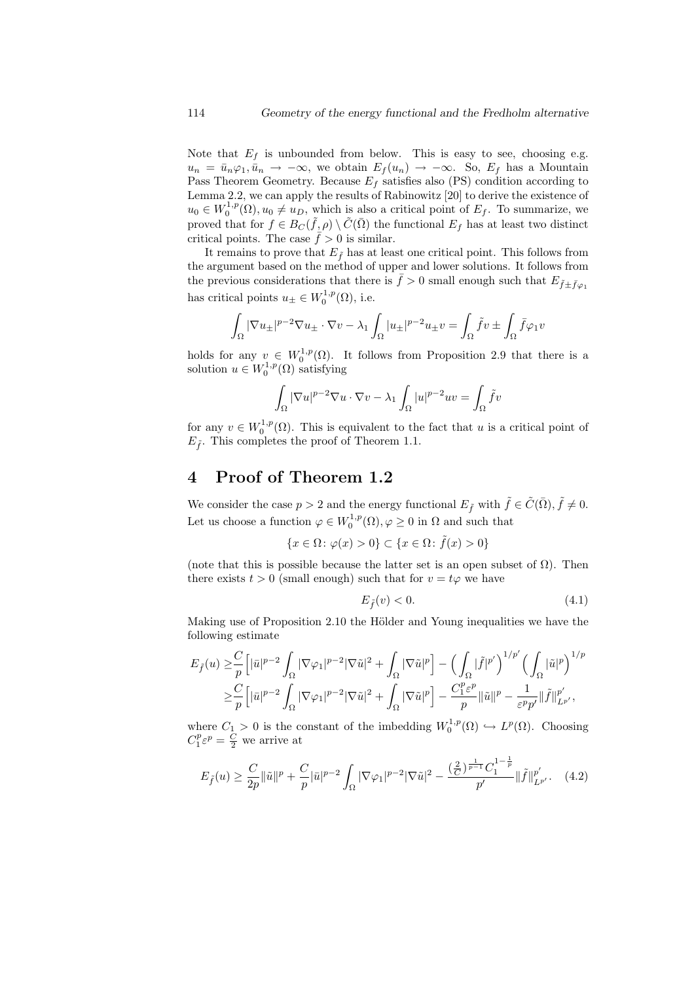Note that  $E_f$  is unbounded from below. This is easy to see, choosing e.g.  $u_n = \bar{u}_n \varphi_1, \bar{u}_n \to -\infty$ , we obtain  $E_f(u_n) \to -\infty$ . So,  $E_f$  has a Mountain Pass Theorem Geometry. Because  $E_f$  satisfies also (PS) condition according to Lemma 2.2, we can apply the results of Rabinowitz [20] to derive the existence of  $u_0 \in W_0^{1,p}(\Omega), u_0 \neq u_D$ , which is also a critical point of  $E_f$ . To summarize, we proved that for  $f \in B_C(\tilde{f}, \rho) \setminus \tilde{C}(\bar{\Omega})$  the functional  $E_f$  has at least two distinct critical points. The case  $\bar{f} > 0$  is similar.

It remains to prove that  $E_{\tilde{f}}$  has at least one critical point. This follows from the argument based on the method of upper and lower solutions. It follows from the previous considerations that there is  $\bar{f} > 0$  small enough such that  $E_{\tilde{f} + \tilde{f}_{\varphi}}$ has critical points  $u_{\pm} \in W_0^{1,p}(\Omega)$ , i.e.

$$
\int_{\Omega} |\nabla u_{\pm}|^{p-2} \nabla u_{\pm} \cdot \nabla v - \lambda_1 \int_{\Omega} |u_{\pm}|^{p-2} u_{\pm} v = \int_{\Omega} \tilde{f}v \pm \int_{\Omega} \bar{f} \varphi_1 v
$$

holds for any  $v \in W_0^{1,p}(\Omega)$ . It follows from Proposition 2.9 that there is a solution  $u \in W_0^{1,p}(\Omega)$  satisfying

$$
\int_{\Omega}|\nabla u|^{p-2}\nabla u\cdot\nabla v-\lambda_{1}\int_{\Omega}|u|^{p-2}uv=\int_{\Omega}\tilde{f}v
$$

for any  $v \in W_0^{1,p}(\Omega)$ . This is equivalent to the fact that u is a critical point of  $E_{\tilde{f}}$ . This completes the proof of Theorem 1.1.

## 4 Proof of Theorem 1.2

We consider the case  $p > 2$  and the energy functional  $E_{\tilde{f}}$  with  $\tilde{f} \in \tilde{C}(\bar{\Omega}), \tilde{f} \neq 0$ . Let us choose a function  $\varphi \in W_0^{1,p}(\Omega), \varphi \geq 0$  in  $\Omega$  and such that

$$
\{x \in \Omega \colon \varphi(x) > 0\} \subset \{x \in \Omega \colon \tilde{f}(x) > 0\}
$$

(note that this is possible because the latter set is an open subset of  $\Omega$ ). Then there exists  $t > 0$  (small enough) such that for  $v = t\varphi$  we have

$$
E_{\tilde{f}}(v) < 0. \tag{4.1}
$$

Making use of Proposition 2.10 the Hölder and Young inequalities we have the following estimate

$$
E_{\tilde{f}}(u) \geq \frac{C}{p} \Big[ |\bar{u}|^{p-2} \int_{\Omega} |\nabla \varphi_1|^{p-2} |\nabla \tilde{u}|^2 + \int_{\Omega} |\nabla \tilde{u}|^p \Big] - \Big( \int_{\Omega} |\tilde{f}|^{p'} \Big)^{1/p'} \Big( \int_{\Omega} |\tilde{u}|^p \Big)^{1/p} \geq \frac{C}{p} \Big[ |\bar{u}|^{p-2} \int_{\Omega} |\nabla \varphi_1|^{p-2} |\nabla \tilde{u}|^2 + \int_{\Omega} |\nabla \tilde{u}|^p \Big] - \frac{C_1^p \varepsilon^p}{p} ||\tilde{u}||^p - \frac{1}{\varepsilon^p p'} ||\tilde{f}||_{L^{p'}}^{p'},
$$

where  $C_1 > 0$  is the constant of the imbedding  $W_0^{1,p}(\Omega) \hookrightarrow L^p(\Omega)$ . Choosing  $C_1^p \varepsilon^p = \frac{C}{2}$  we arrive at

$$
E_{\tilde{f}}(u) \ge \frac{C}{2p} \|\tilde{u}\|^{p} + \frac{C}{p} |\bar{u}|^{p-2} \int_{\Omega} |\nabla \varphi_{1}|^{p-2} |\nabla \tilde{u}|^{2} - \frac{(\frac{2}{C})^{\frac{1}{p-1}} C_{1}^{1-\frac{1}{p}}}{p'} \|\tilde{f}\|_{L^{p'}}^{p'}.\tag{4.2}
$$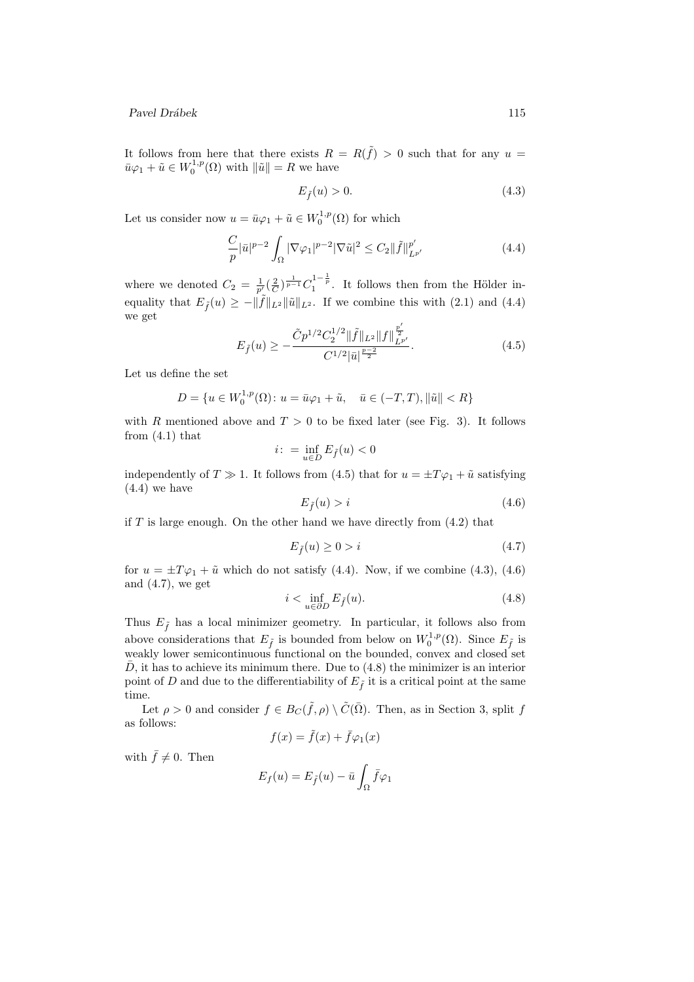It follows from here that there exists  $R = R(\tilde{f}) > 0$  such that for any  $u =$  $\bar{u}\varphi_1 + \tilde{u} \in W_0^{1,p}(\Omega)$  with  $\|\tilde{u}\| = R$  we have

$$
E_{\tilde{f}}(u) > 0.\t\t(4.3)
$$

Let us consider now  $u = \bar{u}\varphi_1 + \tilde{u} \in W_0^{1,p}(\Omega)$  for which

$$
\frac{C}{p} |\bar{u}|^{p-2} \int_{\Omega} |\nabla \varphi_1|^{p-2} |\nabla \tilde{u}|^2 \le C_2 ||\tilde{f}||_{L^{p'}}^{p'} \tag{4.4}
$$

where we denoted  $C_2 = \frac{1}{p'}(\frac{2}{C})^{\frac{1}{p-1}} C_1^{1-\frac{1}{p}}$ . It follows then from the Hölder inequality that  $E_{\tilde{f}}(u) \geq -\|\tilde{f}\|_{L^2} \|\tilde{u}\|_{L^2}$ . If we combine this with (2.1) and (4.4) we get  $\overline{a}$ 

$$
E_{\tilde{f}}(u) \ge -\frac{\tilde{C}p^{1/2}C_2^{1/2} \|\tilde{f}\|_{L^2} \|f\|_{L^{p'}}^{\frac{p'}{2}}}{C^{1/2}|\bar{u}|^{\frac{p-2}{2}}}.
$$
\n(4.5)

Let us define the set

$$
D = \{ u \in W_0^{1,p}(\Omega) \colon u = \bar{u}\varphi_1 + \tilde{u}, \quad \bar{u} \in (-T,T), ||\tilde{u}|| < R \}
$$

with R mentioned above and  $T > 0$  to be fixed later (see Fig. 3). It follows from  $(4.1)$  that

$$
i: \ = \inf_{u \in D} E_{\tilde{f}}(u) < 0
$$

independently of  $T \gg 1$ . It follows from (4.5) that for  $u = \pm T \varphi_1 + \tilde{u}$  satisfying (4.4) we have

$$
E_{\tilde{f}}(u) > i \tag{4.6}
$$

if  $T$  is large enough. On the other hand we have directly from  $(4.2)$  that

$$
E_{\tilde{f}}(u) \ge 0 > i \tag{4.7}
$$

for  $u = \pm T \varphi_1 + \tilde{u}$  which do not satisfy (4.4). Now, if we combine (4.3), (4.6) and  $(4.7)$ , we get

$$
i < \inf_{u \in \partial D} E_{\tilde{f}}(u). \tag{4.8}
$$

Thus  $E_{\tilde{f}}$  has a local minimizer geometry. In particular, it follows also from above considerations that  $E_{\tilde{f}}$  is bounded from below on  $W_0^{1,p}(\Omega)$ . Since  $E_{\tilde{f}}$  is weakly lower semicontinuous functional on the bounded, convex and closed set  $\overline{D}$ , it has to achieve its minimum there. Due to (4.8) the minimizer is an interior point of D and due to the differentiability of  $E_{\tilde{f}}$  it is a critical point at the same time.

Let  $\rho > 0$  and consider  $f \in B_C(\tilde{f}, \rho) \setminus \tilde{C}(\bar{\Omega})$ . Then, as in Section 3, split f as follows:

$$
f(x) = \tilde{f}(x) + \bar{f}\varphi_1(x)
$$

with  $\bar{f} \neq 0$ . Then

$$
E_f(u) = E_{\tilde{f}}(u) - \bar{u} \int_{\Omega} \bar{f} \varphi_1
$$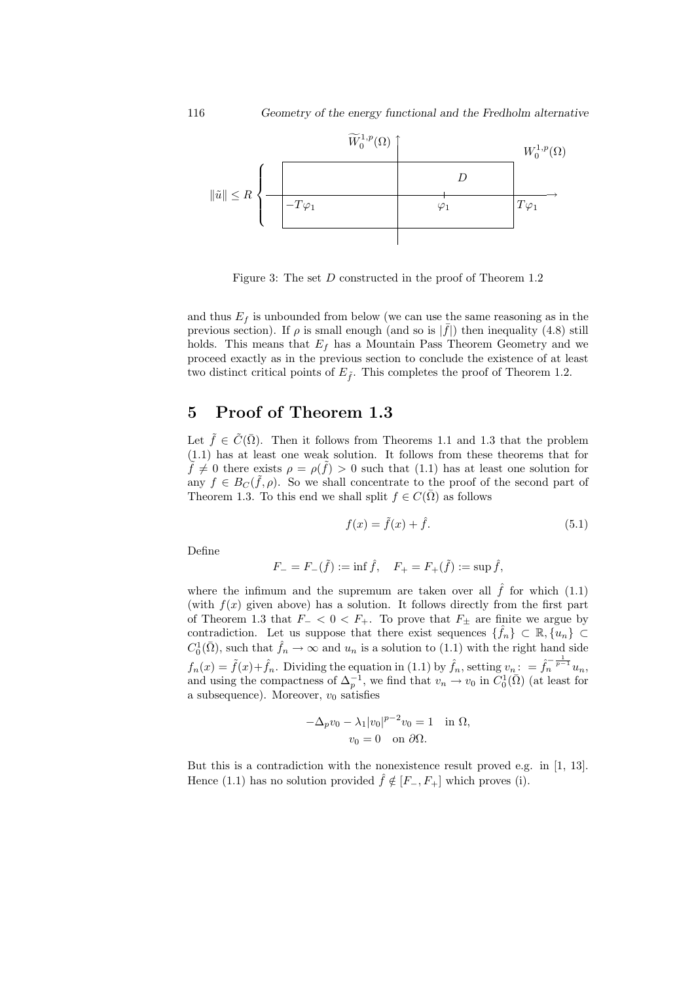

Figure 3: The set D constructed in the proof of Theorem 1.2

and thus  $E_f$  is unbounded from below (we can use the same reasoning as in the previous section). If  $\rho$  is small enough (and so is  $|\bar{f}|$ ) then inequality (4.8) still holds. This means that  $E_f$  has a Mountain Pass Theorem Geometry and we proceed exactly as in the previous section to conclude the existence of at least two distinct critical points of  $E_{\tilde{f}}$ . This completes the proof of Theorem 1.2.

## 5 Proof of Theorem 1.3

Let  $\tilde{f} \in \tilde{C}(\overline{\Omega})$ . Then it follows from Theorems 1.1 and 1.3 that the problem (1.1) has at least one weak solution. It follows from these theorems that for  $\tilde{f} \neq 0$  there exists  $\rho = \rho(\tilde{f}) > 0$  such that (1.1) has at least one solution for any  $f \in B_C(\tilde{f}, \rho)$ . So we shall concentrate to the proof of the second part of Theorem 1.3. To this end we shall split  $f \in C(\overline{\Omega})$  as follows

$$
f(x) = \tilde{f}(x) + \hat{f}.\tag{5.1}
$$

Define

$$
F_- = F_-(\tilde{f}) := \inf \hat{f}, \quad F_+ = F_+(\tilde{f}) := \sup \hat{f},
$$

where the infimum and the supremum are taken over all  $\hat{f}$  for which (1.1) (with  $f(x)$  given above) has a solution. It follows directly from the first part of Theorem 1.3 that  $F_$  < 0 <  $F_+$ . To prove that  $F_+$  are finite we argue by contradiction. Let us suppose that there exist sequences  $\{\hat{f}_n\} \subset \mathbb{R}, \{\hat{u}_n\} \subset$  $C_0^1(\bar{\Omega})$ , such that  $\hat{f}_n \to \infty$  and  $u_n$  is a solution to (1.1) with the right hand side  $f_n(x) = \tilde{f}(x) + \hat{f}_n$ . Dividing the equation in (1.1) by  $\hat{f}_n$ , setting  $v_n: \ = \hat{f}_n^{-\frac{1}{p-1}}u_n$ , and using the compactness of  $\Delta_p^{-1}$ , we find that  $v_n \to v_0$  in  $C_0^1(\bar{\Omega})$  (at least for a subsequence). Moreover,  $v_0$  satisfies

$$
-\Delta_p v_0 - \lambda_1 |v_0|^{p-2} v_0 = 1 \quad \text{in } \Omega,
$$
  

$$
v_0 = 0 \quad \text{on } \partial\Omega.
$$

But this is a contradiction with the nonexistence result proved e.g. in [1, 13]. Hence (1.1) has no solution provided  $\hat{f} \notin [F_-, F_+]$  which proves (i).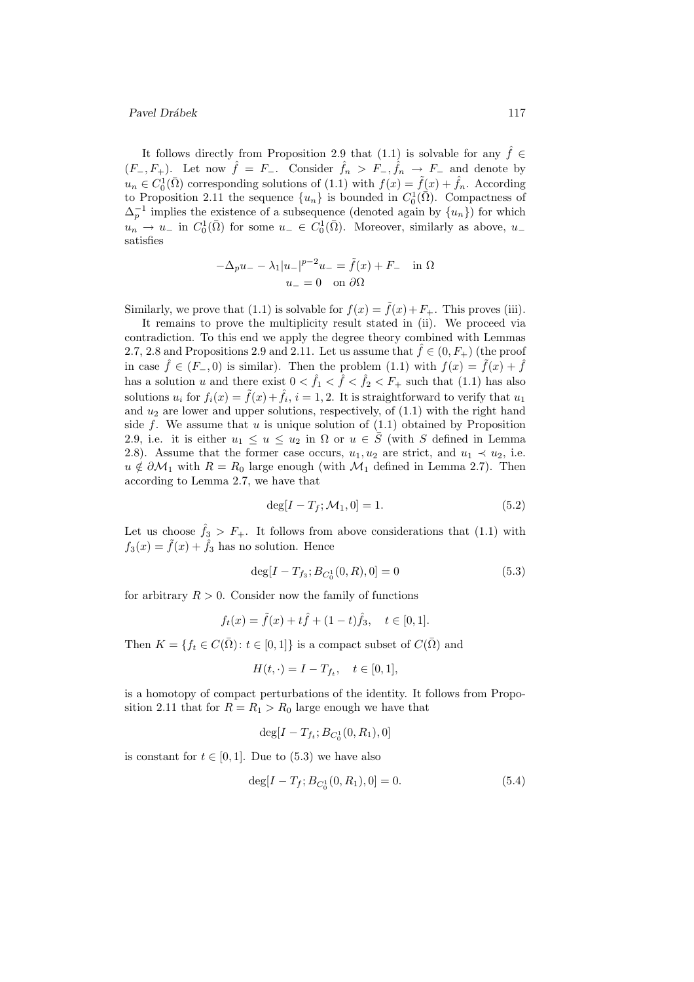It follows directly from Proposition 2.9 that (1.1) is solvable for any  $\hat{f} \in$  $(F_-, F_+)$ . Let now  $\hat{f} = F_-$ . Consider  $\hat{f}_n > F_-, \hat{f}_n \to F_-$  and denote by  $u_n \in C_0^1(\bar{\Omega})$  corresponding solutions of  $(1.1)$  with  $f(x) = \tilde{f}(x) + \hat{f}_n$ . According to Proposition 2.11 the sequence  $\{u_n\}$  is bounded in  $C_0^1(\overline{\Omega})$ . Compactness of  $\Delta_p^{-1}$  implies the existence of a subsequence (denoted again by  $\{u_n\}$ ) for which  $u_n \to u_-$  in  $C_0^1(\bar{\Omega})$  for some  $u_- \in C_0^1(\bar{\Omega})$ . Moreover, similarly as above,  $u_$ satisfies

$$
-\Delta_p u_- - \lambda_1 |u_-|^{p-2} u_- = \tilde{f}(x) + F_- \quad \text{in } \Omega
$$

$$
u_- = 0 \quad \text{on } \partial\Omega
$$

Similarly, we prove that (1.1) is solvable for  $f(x) = \tilde{f}(x) + F_+$ . This proves (iii).

It remains to prove the multiplicity result stated in (ii). We proceed via contradiction. To this end we apply the degree theory combined with Lemmas 2.7, 2.8 and Propositions 2.9 and 2.11. Let us assume that  $\hat{f} \in (0, F_{+})$  (the proof in case  $\hat{f} \in (F_-, 0)$  is similar). Then the problem (1.1) with  $f(x) = \tilde{f}(x) + \tilde{f}(x)$ has a solution u and there exist  $0 < \hat{f}_1 < \hat{f} < \hat{f}_2 < F_+$  such that (1.1) has also solutions  $u_i$  for  $f_i(x) = \tilde{f}(x) + \hat{f}_i$ ,  $i = 1, 2$ . It is straightforward to verify that  $u_1$ and  $u_2$  are lower and upper solutions, respectively, of  $(1.1)$  with the right hand side f. We assume that  $u$  is unique solution of  $(1.1)$  obtained by Proposition 2.9, i.e. it is either  $u_1 \leq u \leq u_2$  in  $\Omega$  or  $u \in \overline{S}$  (with S defined in Lemma 2.8). Assume that the former case occurs,  $u_1, u_2$  are strict, and  $u_1 \prec u_2$ , i.e.  $u \notin \partial M_1$  with  $R = R_0$  large enough (with  $M_1$  defined in Lemma 2.7). Then according to Lemma 2.7, we have that

$$
\deg[I - T_f; \mathcal{M}_1, 0] = 1. \tag{5.2}
$$

Let us choose  $\hat{f}_3 > F_+$ . It follows from above considerations that (1.1) with  $f_3(x) = \tilde{f}(x) + \hat{f}_3$  has no solution. Hence

$$
\deg[I - T_{f_3}; B_{C_0^1}(0, R), 0] = 0 \tag{5.3}
$$

for arbitrary  $R > 0$ . Consider now the family of functions

$$
f_t(x) = \tilde{f}(x) + t\hat{f} + (1 - t)\hat{f}_3, \quad t \in [0, 1].
$$

Then  $K = \{f_t \in C(\overline{\Omega}) : t \in [0,1]\}$  is a compact subset of  $C(\overline{\Omega})$  and

$$
H(t,\cdot) = I - T_{f_t}, \quad t \in [0,1],
$$

is a homotopy of compact perturbations of the identity. It follows from Proposition 2.11 that for  $R = R_1 > R_0$  large enough we have that

$$
\deg[I - T_{f_t}; B_{C_0^1}(0, R_1), 0]
$$

is constant for  $t \in [0, 1]$ . Due to  $(5.3)$  we have also

$$
\deg[I - T_f; B_{C_0^1}(0, R_1), 0] = 0. \tag{5.4}
$$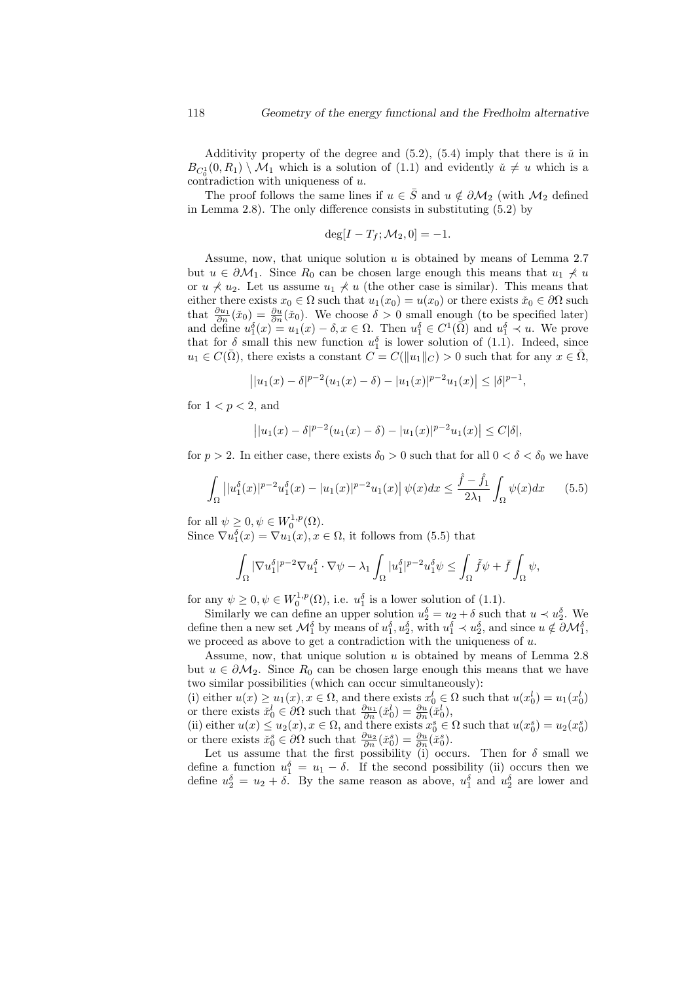Additivity property of the degree and  $(5.2)$ ,  $(5.4)$  imply that there is  $\check{u}$  in  $B_{C_0^1}(0,R_1) \setminus M_1$  which is a solution of (1.1) and evidently  $\check{u} \neq u$  which is a contradiction with uniqueness of u.

The proof follows the same lines if  $u \in \overline{S}$  and  $u \notin \partial M_2$  (with  $M_2$  defined in Lemma 2.8). The only difference consists in substituting (5.2) by

$$
\deg[I - T_f; \mathcal{M}_2, 0] = -1.
$$

Assume, now, that unique solution  $u$  is obtained by means of Lemma 2.7 but  $u \in \partial M_1$ . Since  $R_0$  can be chosen large enough this means that  $u_1 \nless u_2$ or  $u \nless u_2$ . Let us assume  $u_1 \nless u$  (the other case is similar). This means that either there exists  $x_0 \in \Omega$  such that  $u_1(x_0) = u(x_0)$  or there exists  $\check{x}_0 \in \partial \Omega$  such that  $\frac{\partial u_1}{\partial n}(\tilde{x}_0) = \frac{\partial u}{\partial n}(\tilde{x}_0)$ . We choose  $\delta > 0$  small enough (to be specified later) and define  $u_1^{\delta}(x) = u_1(x) - \delta, x \in \Omega$ . Then  $u_1^{\delta} \in C^1(\overline{\Omega})$  and  $u_1^{\delta} \prec u$ . We prove that for  $\delta$  small this new function  $u_1^{\delta}$  is lower solution of (1.1). Indeed, since  $u_1 \in C(\overline{\Omega})$ , there exists a constant  $C = C(||u_1||_C) > 0$  such that for any  $x \in \overline{\Omega}$ ,

$$
||u_1(x) - \delta|^{p-2}(u_1(x) - \delta) - |u_1(x)|^{p-2}u_1(x)| \leq |\delta|^{p-1},
$$

for  $1 < p < 2$ , and

$$
||u_1(x) - \delta|^{p-2}(u_1(x) - \delta) - |u_1(x)|^{p-2}u_1(x)| \le C|\delta|,
$$

for  $p > 2$ . In either case, there exists  $\delta_0 > 0$  such that for all  $0 < \delta < \delta_0$  we have

$$
\int_{\Omega} \left| |u_1^{\delta}(x)|^{p-2} u_1^{\delta}(x) - |u_1(x)|^{p-2} u_1(x) \right| \psi(x) dx \le \frac{\hat{f} - \hat{f}_1}{2\lambda_1} \int_{\Omega} \psi(x) dx \qquad (5.5)
$$

for all  $\psi \geq 0, \psi \in W_0^{1,p}(\Omega)$ . Since  $\nabla u_1^{\delta}(x) = \nabla u_1(x), x \in \Omega$ , it follows from (5.5) that

$$
\int_{\Omega}|\nabla u_1^\delta|^{p-2}\nabla u_1^\delta\cdot \nabla \psi-\lambda_1\int_{\Omega}|u_1^\delta|^{p-2}u_1^\delta \psi\leq \int_{\Omega}\tilde f\psi+\bar f\int_{\Omega}\psi,
$$

for any  $\psi \geq 0, \psi \in W_0^{1,p}(\Omega)$ , i.e.  $u_1^{\delta}$  is a lower solution of (1.1).

Similarly we can define an upper solution  $u_2^{\delta} = u_2 + \delta$  such that  $u \prec u_2^{\delta}$ . We define then a new set  $\mathcal{M}_{1}^{\delta}$  by means of  $u_{1}^{\delta}, u_{2}^{\delta}$ , with  $u_{1}^{\delta} \prec u_{2}^{\delta}$ , and since  $u \notin \partial \mathcal{M}_{1}^{\delta}$ , we proceed as above to get a contradiction with the uniqueness of  $u$ .

Assume, now, that unique solution  $u$  is obtained by means of Lemma 2.8 but  $u \in \partial M_2$ . Since  $R_0$  can be chosen large enough this means that we have two similar possibilities (which can occur simultaneously):

(i) either  $u(x) \ge u_1(x), x \in \Omega$ , and there exists  $x_0^l \in \Omega$  such that  $u(x_0^l) = u_1(x_0^l)$ or there exists  $\check{x}_0^l \in \partial\Omega$  such that  $\frac{\partial u_1}{\partial n}(\check{x}_0^l) = \frac{\partial u}{\partial n}(\check{x}_0^l)$ ,

(ii) either  $u(x) \leq u_2(x)$ ,  $x \in \Omega$ , and there exists  $x_0^s \in \Omega$  such that  $u(x_0^s) = u_2(x_0^s)$ or there exists  $\check{x}_0^s \in \partial \Omega$  such that  $\frac{\partial u_2}{\partial n}(\check{x}_0^s) = \frac{\partial u}{\partial n}(\check{x}_0^s)$ .

Let us assume that the first possibility (i) occurs. Then for  $\delta$  small we define a function  $u_1^{\delta} = u_1 - \delta$ . If the second possibility (ii) occurs then we define  $u_2^{\delta} = u_2 + \delta$ . By the same reason as above,  $u_1^{\delta}$  and  $u_2^{\delta}$  are lower and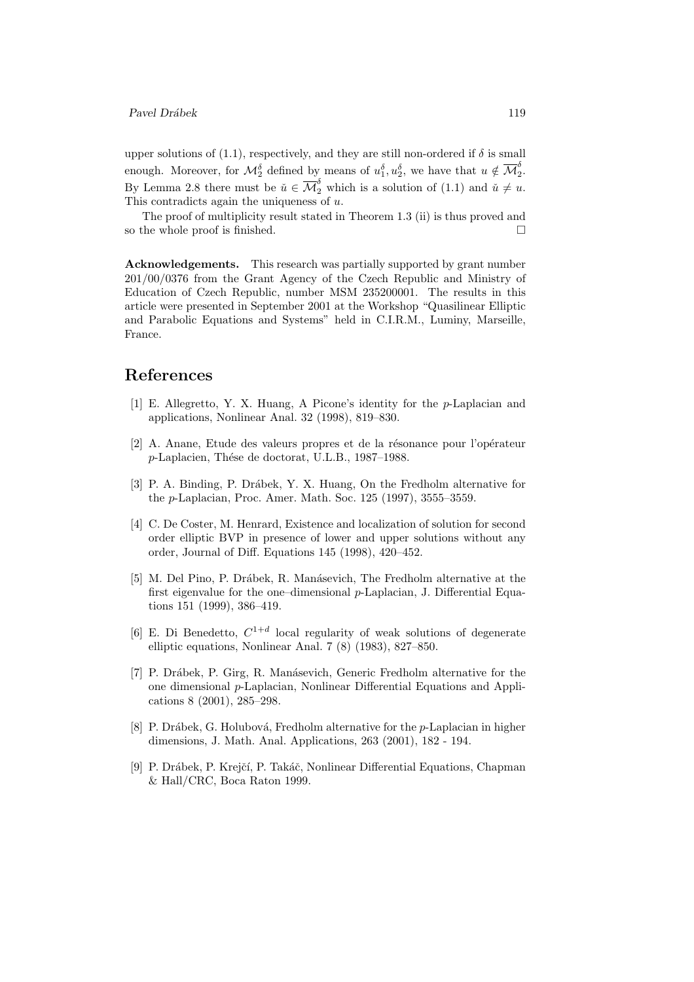upper solutions of (1.1), respectively, and they are still non-ordered if  $\delta$  is small enough. Moreover, for  $\mathcal{M}_{2}^{\delta}$  defined by means of  $u_1^{\delta}, u_2^{\delta}$ , we have that  $u \notin \overline{\mathcal{M}}_{2}^{\delta}$  $\frac{0}{2}$ . By Lemma 2.8 there must be  $\check{u} \in \overline{\mathcal{M}}_2^{\delta}$  which is a solution of (1.1) and  $\check{u} \neq u$ . This contradicts again the uniqueness of u.

The proof of multiplicity result stated in Theorem 1.3 (ii) is thus proved and so the whole proof is finished.

Acknowledgements. This research was partially supported by grant number 201/00/0376 from the Grant Agency of the Czech Republic and Ministry of Education of Czech Republic, number MSM 235200001. The results in this article were presented in September 2001 at the Workshop "Quasilinear Elliptic and Parabolic Equations and Systems" held in C.I.R.M., Luminy, Marseille, France.

## References

- [1] E. Allegretto, Y. X. Huang, A Picone's identity for the p-Laplacian and applications, Nonlinear Anal. 32 (1998), 819–830.
- [2] A. Anane, Etude des valeurs propres et de la résonance pour l'opérateur p-Laplacien, Th´ese de doctorat, U.L.B., 1987–1988.
- [3] P. A. Binding, P. Drábek, Y. X. Huang, On the Fredholm alternative for the p-Laplacian, Proc. Amer. Math. Soc. 125 (1997), 3555–3559.
- [4] C. De Coster, M. Henrard, Existence and localization of solution for second order elliptic BVP in presence of lower and upper solutions without any order, Journal of Diff. Equations 145 (1998), 420–452.
- [5] M. Del Pino, P. Drábek, R. Manásevich, The Fredholm alternative at the first eigenvalue for the one–dimensional p-Laplacian, J. Differential Equations 151 (1999), 386–419.
- [6] E. Di Benedetto,  $C^{1+d}$  local regularity of weak solutions of degenerate elliptic equations, Nonlinear Anal. 7 (8) (1983), 827–850.
- [7] P. Dr´abek, P. Girg, R. Man´asevich, Generic Fredholm alternative for the one dimensional p-Laplacian, Nonlinear Differential Equations and Applications 8 (2001), 285–298.
- [8] P. Drábek, G. Holubová, Fredholm alternative for the  $p$ -Laplacian in higher dimensions, J. Math. Anal. Applications, 263 (2001), 182 - 194.
- [9] P. Drábek, P. Krejčí, P. Takáč, Nonlinear Differential Equations, Chapman & Hall/CRC, Boca Raton 1999.